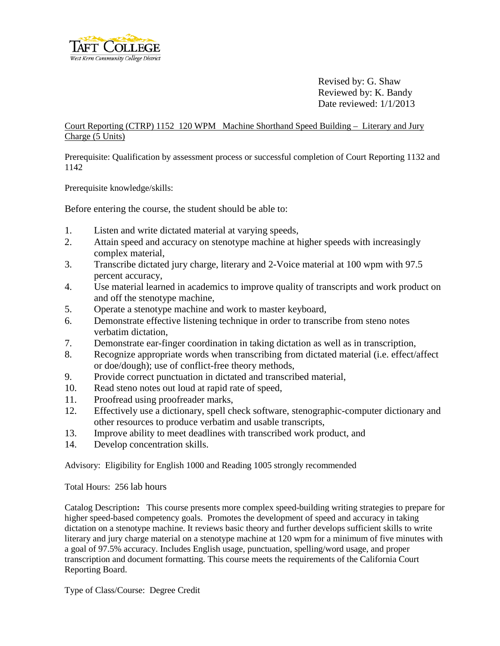

Revised by: G. Shaw Reviewed by: K. Bandy Date reviewed: 1/1/2013

Court Reporting (CTRP) 1152 120 WPMMachine Shorthand Speed Building – Literary and Jury Charge (5 Units)

Prerequisite: Qualification by assessment process or successful completion of Court Reporting 1132 and 1142

Prerequisite knowledge/skills:

Before entering the course, the student should be able to:

- 1. Listen and write dictated material at varying speeds,
- 2. Attain speed and accuracy on stenotype machine at higher speeds with increasingly complex material,
- 3. Transcribe dictated jury charge, literary and 2-Voice material at 100 wpm with 97.5 percent accuracy,
- 4. Use material learned in academics to improve quality of transcripts and work product on and off the stenotype machine,
- 5. Operate a stenotype machine and work to master keyboard,
- 6. Demonstrate effective listening technique in order to transcribe from steno notes verbatim dictation,
- 7. Demonstrate ear-finger coordination in taking dictation as well as in transcription,
- 8. Recognize appropriate words when transcribing from dictated material (i.e. effect/affect or doe/dough); use of conflict-free theory methods,
- 9. Provide correct punctuation in dictated and transcribed material,
- 10. Read steno notes out loud at rapid rate of speed,
- 11. Proofread using proofreader marks,
- 12. Effectively use a dictionary, spell check software, stenographic-computer dictionary and other resources to produce verbatim and usable transcripts,
- 13. Improve ability to meet deadlines with transcribed work product, and
- 14. Develop concentration skills.

Advisory: Eligibility for English 1000 and Reading 1005 strongly recommended

Total Hours: 256 lab hours

Catalog Description**:** This course presents more complex speed-building writing strategies to prepare for higher speed-based competency goals. Promotes the development of speed and accuracy in taking dictation on a stenotype machine. It reviews basic theory and further develops sufficient skills to write literary and jury charge material on a stenotype machine at 120 wpm for a minimum of five minutes with a goal of 97.5% accuracy. Includes English usage, punctuation, spelling/word usage, and proper transcription and document formatting. This course meets the requirements of the California Court Reporting Board.

Type of Class/Course: Degree Credit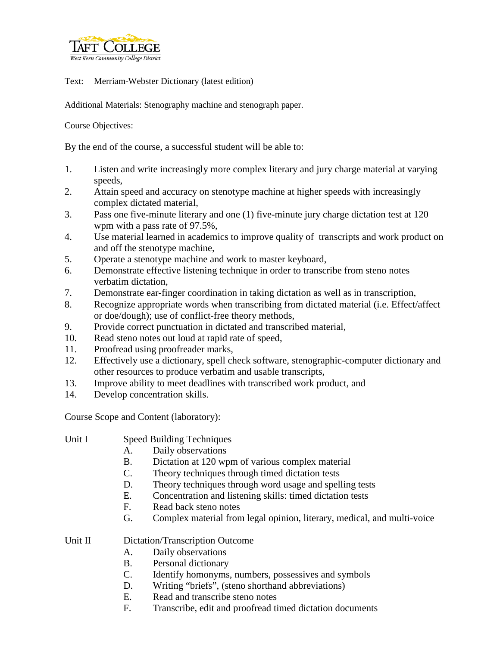

Text: Merriam-Webster Dictionary (latest edition)

Additional Materials: Stenography machine and stenograph paper.

Course Objectives:

By the end of the course, a successful student will be able to:

- 1. Listen and write increasingly more complex literary and jury charge material at varying speeds,
- 2. Attain speed and accuracy on stenotype machine at higher speeds with increasingly complex dictated material,
- 3. Pass one five-minute literary and one (1) five-minute jury charge dictation test at 120 wpm with a pass rate of 97.5%,
- 4. Use material learned in academics to improve quality of transcripts and work product on and off the stenotype machine,
- 5. Operate a stenotype machine and work to master keyboard,
- 6. Demonstrate effective listening technique in order to transcribe from steno notes verbatim dictation,
- 7. Demonstrate ear-finger coordination in taking dictation as well as in transcription,
- 8. Recognize appropriate words when transcribing from dictated material (i.e. Effect/affect or doe/dough); use of conflict-free theory methods,
- 9. Provide correct punctuation in dictated and transcribed material,
- 10. Read steno notes out loud at rapid rate of speed,
- 11. Proofread using proofreader marks,
- 12. Effectively use a dictionary, spell check software, stenographic-computer dictionary and other resources to produce verbatim and usable transcripts,
- 13. Improve ability to meet deadlines with transcribed work product, and
- 14. Develop concentration skills.

Course Scope and Content (laboratory):

- Unit I Speed Building Techniques
	- A. Daily observations
	- B. Dictation at 120 wpm of various complex material
	- C. Theory techniques through timed dictation tests
	- D. Theory techniques through word usage and spelling tests
	- E. Concentration and listening skills: timed dictation tests
	- F. Read back steno notes
	- G. Complex material from legal opinion, literary, medical, and multi-voice

Unit II Dictation/Transcription Outcome

- A. Daily observations
- B. Personal dictionary
- C. Identify homonyms, numbers, possessives and symbols
- D. Writing "briefs", (steno shorthand abbreviations)
- E. Read and transcribe steno notes
- F. Transcribe, edit and proofread timed dictation documents